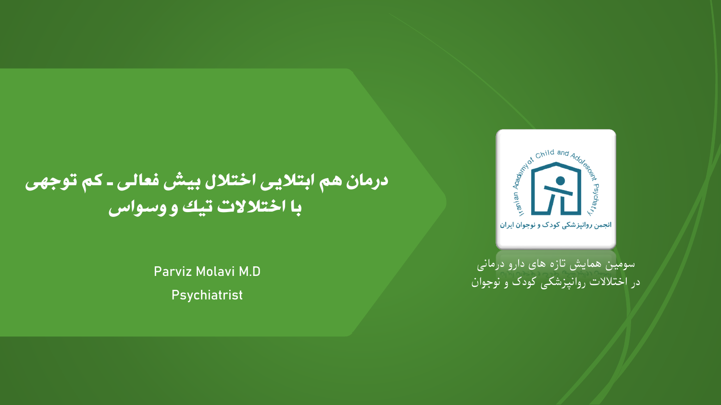### درمان هم ابتالیی اختالل بیش فعالی ـ کم توجهی با اختالالت تیک و وسواس

**Parviz Molavi M.D**

**Psychiatrist**

سومین همایش تازه های دارو درمانی در اختالالت روانپزشکی کودک و نوجوان

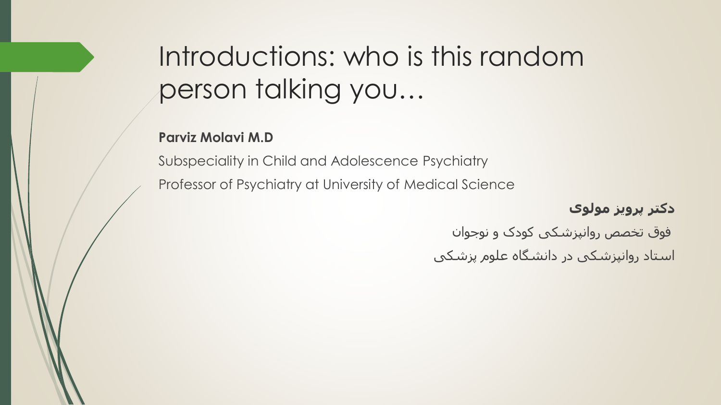# Introductions: who is this random person talking you…

#### **Parviz Molavi M.D**

Subspeciality in Child and Adolescence Psychiatry Professor of Psychiatry at University of Medical Science

**دکتر پرویز مولوی**

فوق تخصص روانپزشکی کودک و نوجوان

استاد روانپزشکی در دانشگاه علوم پزشکی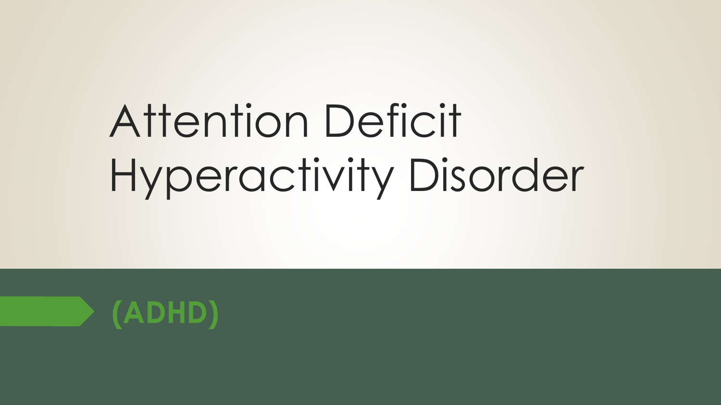# Attention Deficit Hyperactivity Disorder

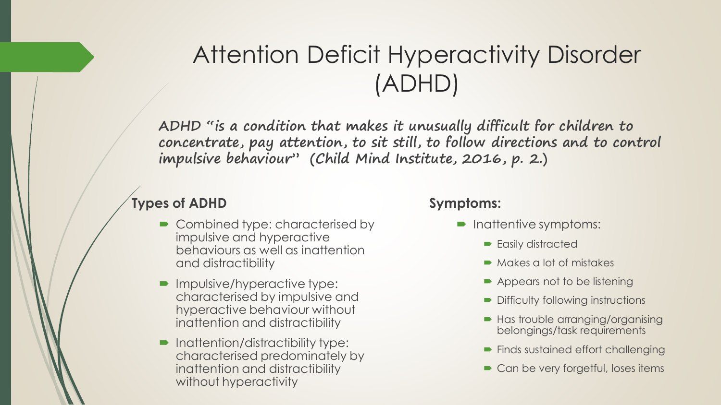### Attention Deficit Hyperactivity Disorder (ADHD)

**ADHD "is a condition that makes it unusually difficult for children to concentrate, pay attention, to sit still, to follow directions and to control impulsive behaviour" (Child Mind Institute, 2016, p. 2.)**

#### **Types of ADHD**

- Combined type: characterised by impulsive and hyperactive behaviours as well as inattention and distractibility
- **Impulsive/hyperactive type:** characterised by impulsive and hyperactive behaviour without inattention and distractibility
- Inattention/distractibility type: characterised predominately by inattention and distractibility without hyperactivity

#### **Symptoms:**

- Inattentive symptoms:
	- **Easily distracted**
	- Makes a lot of mistakes
	- Appears not to be listening
	- **Difficulty following instructions**
	- Has trouble arranging/organising belongings/task requirements
	- Finds sustained effort challenging
	- Can be very forgetful, loses items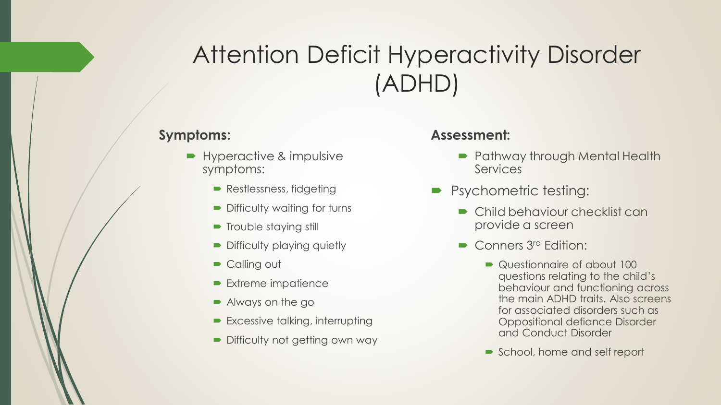### Attention Deficit Hyperactivity Disorder (ADHD)

#### **Symptoms:**

- Hyperactive & impulsive symptoms:
	- Restlessness, fidgeting
	- **Difficulty waiting for turns**
	- **Trouble staying still**
	- Difficulty playing quietly
	- Calling out
	- **Extreme impatience**
	- Always on the go
	- **Excessive talking, interrupting**
	- Difficulty not getting own way

#### **Assessment:**

- Pathway through Mental Health Services
- **P** Psychometric testing:
	- Child behaviour checklist can provide a screen
	- **Conners 3rd Edition:** 
		- Questionnaire of about 100 questions relating to the child's behaviour and functioning across the main ADHD traits. Also screens for associated disorders such as Oppositional defiance Disorder and Conduct Disorder
		- School, home and self report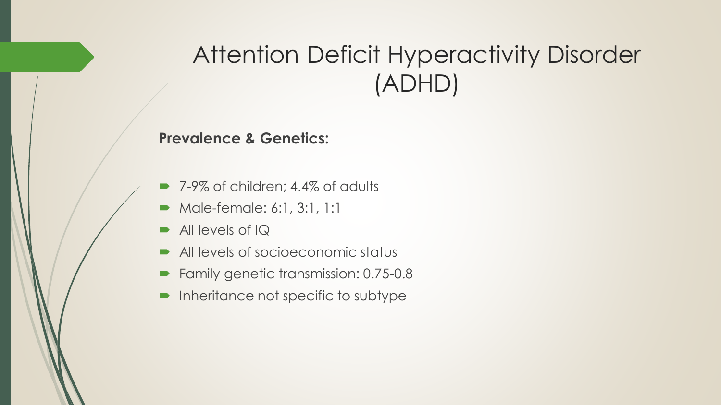### Attention Deficit Hyperactivity Disorder (ADHD)

#### **Prevalence & Genetics:**

- 7-9% of children; 4.4% of adults
- Male-female: 6:1, 3:1, 1:1
- $\blacksquare$  All levels of IQ
- All levels of socioeconomic status
- Family genetic transmission: 0.75-0.8
- $\blacksquare$  Inheritance not specific to subtype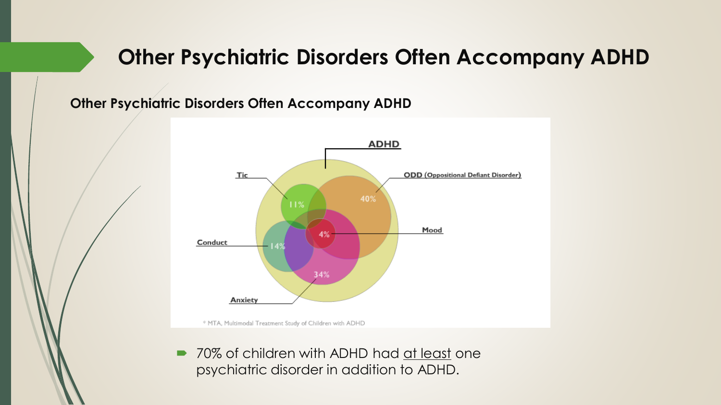### **Other Psychiatric Disorders Often Accompany ADHD**

**Other Psychiatric Disorders Often Accompany ADHD**



■ 70% of children with ADHD had at least one psychiatric disorder in addition to ADHD.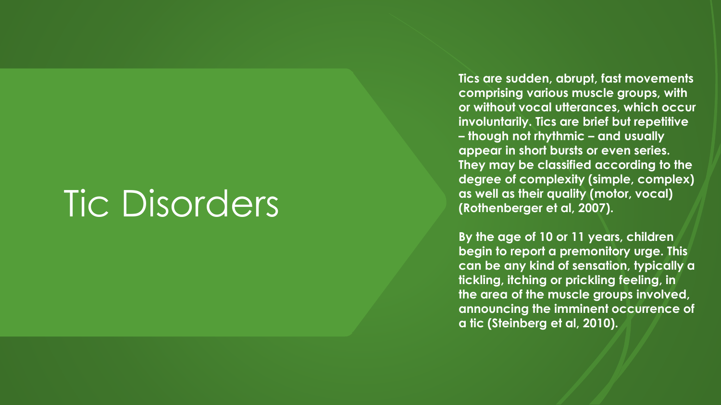# Tic Disorders

**Tics are sudden, abrupt, fast movements comprising various muscle groups, with or without vocal utterances, which occur involuntarily. Tics are brief but repetitive – though not rhythmic – and usually appear in short bursts or even series. They may be classified according to the degree of complexity (simple, complex) as well as their quality (motor, vocal) (Rothenberger et al, 2007).** 

**By the age of 10 or 11 years, children begin to report a premonitory urge. This can be any kind of sensation, typically a tickling, itching or prickling feeling, in the area of the muscle groups involved, announcing the imminent occurrence of a tic (Steinberg et al, 2010).**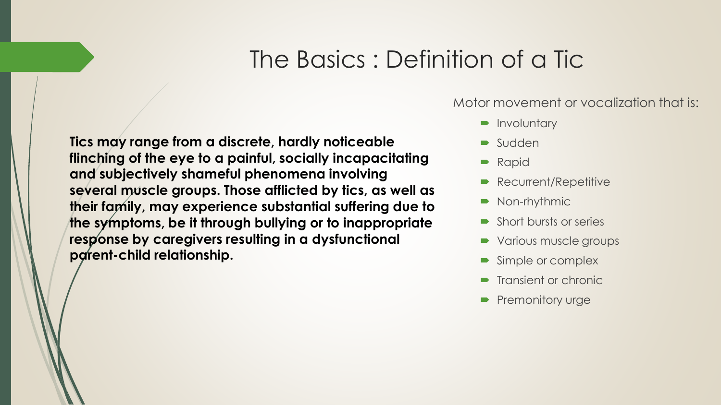### The Basics : Definition of a Tic

**Tics may range from a discrete, hardly noticeable flinching of the eye to a painful, socially incapacitating and subjectively shameful phenomena involving several muscle groups. Those afflicted by tics, as well as their family, may experience substantial suffering due to the symptoms, be it through bullying or to inappropriate response by caregivers resulting in a dysfunctional parent-child relationship.** 

Motor movement or vocalization that is:

- **D** Involuntary
- **Sudden**
- **Rapid**
- **Recurrent/Repetitive**
- Non-rhythmic
- **Short bursts or series**
- Various muscle groups
- Simple or complex
- **Transient or chronic**
- **Premonitory urge**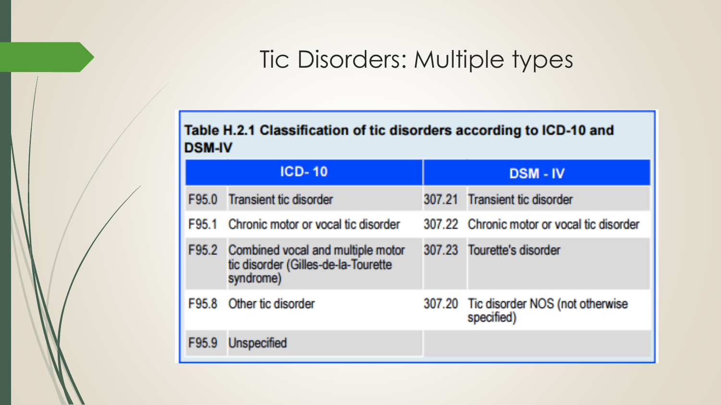### Tic Disorders: Multiple types

#### Table H.2.1 Classification of tic disorders according to ICD-10 and **DSM-IV**

| $ICD-10$ |                                                                                             | <b>DSM-IV</b> |                                                      |
|----------|---------------------------------------------------------------------------------------------|---------------|------------------------------------------------------|
|          | F95.0 Transient tic disorder                                                                |               | 307.21 Transient tic disorder                        |
|          | F95.1 Chronic motor or yocal tic disorder                                                   |               | 307.22 Chronic motor or vocal tic disorder           |
|          | F95.2 Combined vocal and multiple motor<br>tic disorder (Gilles-de-la-Tourette<br>syndrome) |               | 307.23 Tourette's disorder                           |
|          | F95.8 Other tic disorder                                                                    |               | 307.20 Tic disorder NOS (not otherwise<br>specified) |
| F95.9    | Unspecified                                                                                 |               |                                                      |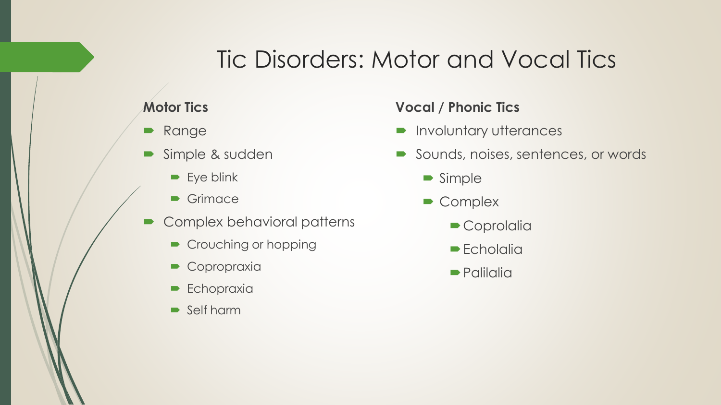### Tic Disorders: Motor and Vocal Tics

#### **Motor Tics**

- **Range**
- Simple & sudden
	- $\blacktriangleright$  Eye blink
	- **•** Grimace
- Complex behavioral patterns
	- Crouching or hopping
	- Copropraxia
	- $\blacktriangleright$  Echopraxia
	- Self harm

#### **Vocal / Phonic Tics**

- **Involuntary utterances**
- Sounds, noises, sentences, or words
	- **Simple**
	- Complex
		- Coprolalia
		- $\blacktriangleright$  Echolalia
		- **Palilalia**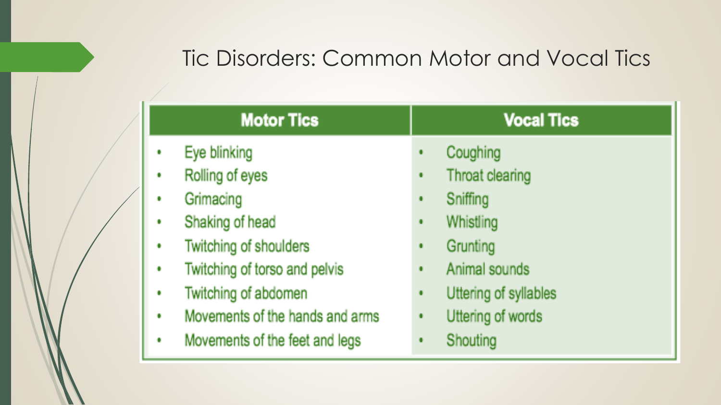### Tic Disorders: Common Motor and Vocal Tics

|              | <b>Motor Tics</b>               | <b>Vocal Tics</b>                       |
|--------------|---------------------------------|-----------------------------------------|
| $\mathbf{G}$ | Eye blinking                    | Coughing<br>$\bullet$                   |
| $\mathbf{G}$ | Rolling of eyes                 | Throat clearing<br>$\blacksquare$       |
| $\Omega$     | Grimacing                       | Sniffing<br>$\blacksquare$              |
| $\mathbf{G}$ | Shaking of head                 | Whistling<br>$\blacksquare$             |
| Ù.           | Twitching of shoulders          | Grunting<br>۰                           |
| $\alpha$     | Twitching of torso and pelvis   | Animal sounds<br>$\bullet$              |
| $\mathbf{G}$ | Twitching of abdomen            | Uttering of syllables<br>$\blacksquare$ |
| Œ            | Movements of the hands and arms | Uttering of words<br>$\bullet$          |
| $\alpha$     | Movements of the feet and legs  | Shouting<br>$\blacksquare$              |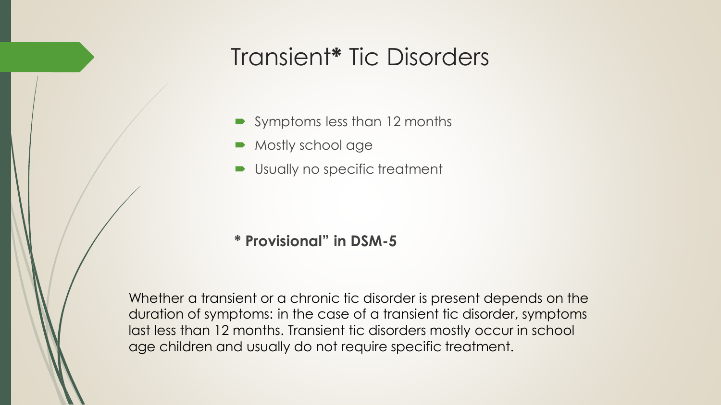### Transient**\*** Tic Disorders

- Symptoms less than 12 months
- Mostly school age
- Usually no specific treatment

#### **\* Provisional" in DSM-5**

Whether a transient or a chronic tic disorder is present depends on the duration of symptoms: in the case of a transient tic disorder, symptoms last less than 12 months. Transient tic disorders mostly occur in school age children and usually do not require specific treatment.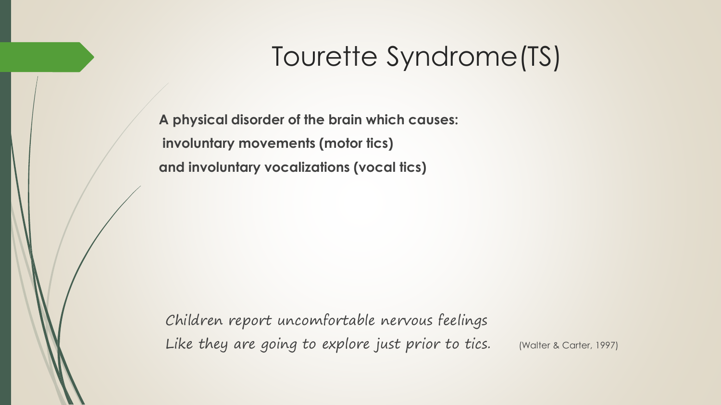**A physical disorder of the brain which causes: involuntary movements (motor tics) and involuntary vocalizations (vocal tics)**

Children report uncomfortable nervous feelings Like they are going to explore just prior to tics. (Walter & Carter, 1997)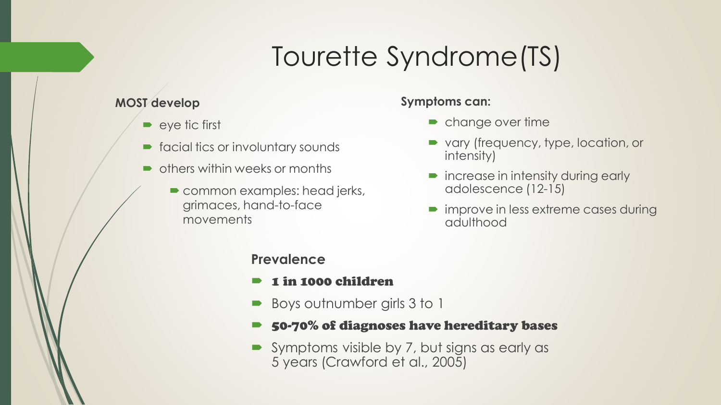#### **MOST develop**

- $\bullet$  eye tic first
- **Figure 1** facial tics or involuntary sounds
- others within weeks or months
	- **Common examples: head jerks,** grimaces, hand-to-face movements

#### **Symptoms can:**

- change over time
- vary (frequency, type, location, or intensity)
- increase in intensity during early adolescence (12-15)
- improve in less extreme cases during adulthood

#### **Prevalence**

- 1 in 1000 children
- Boys outnumber girls 3 to 1
- 50-70% of diagnoses have hereditary bases
- Symptoms visible by 7, but signs as early as 5 years (Crawford et al., 2005)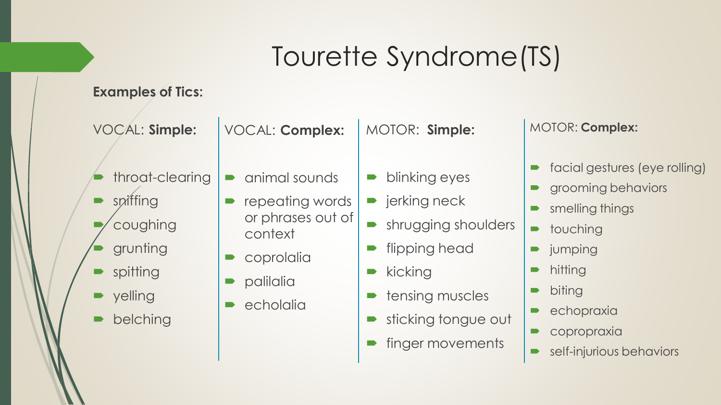#### **Examples of Tics:**

VOCAL: **Simple:**

- throat-clearing
- sniffing
- coughing
- grunting
- spitting
- yelling
- belching

VOCAL: **Complex:**

animal sounds

context

**P** palilalia

 $\bullet$  echolalia

coprolalia

repeating words

or phrases out of

MOTOR: **Simple:**

- blinking eyes
- $\blacksquare$  jerking neck
- **Shrugging shoulders**
- flipping head
- $\blacktriangleright$  kicking
- tensing muscles
- sticking tongue out
- finger movements

#### MOTOR: **Complex:**

- facial gestures (eye rolling)
- grooming behaviors
- smelling things
- **•** touching
- **D** jumping
- hitting
- biting
- echopraxia
- copropraxia
- **Self-injurious behaviors**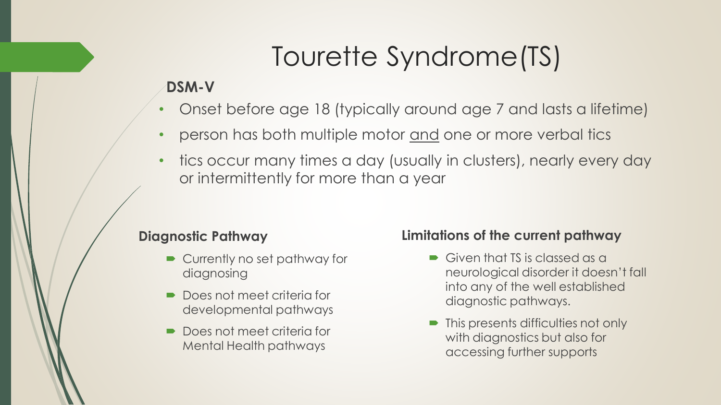#### **DSM-V**

- Onset before age 18 (typically around age 7 and lasts a lifetime)
- person has both multiple motor and one or more verbal tics
- tics occur many times a day (usually in clusters), nearly every day or intermittently for more than a year

#### **Diagnostic Pathway**

- Currently no set pathway for diagnosing
- Does not meet criteria for developmental pathways
- Does not meet criteria for Mental Health pathways

#### **Limitations of the current pathway**

- Given that TS is classed as a neurological disorder it doesn't fall into any of the well established diagnostic pathways.
- This presents difficulties not only with diagnostics but also for accessing further supports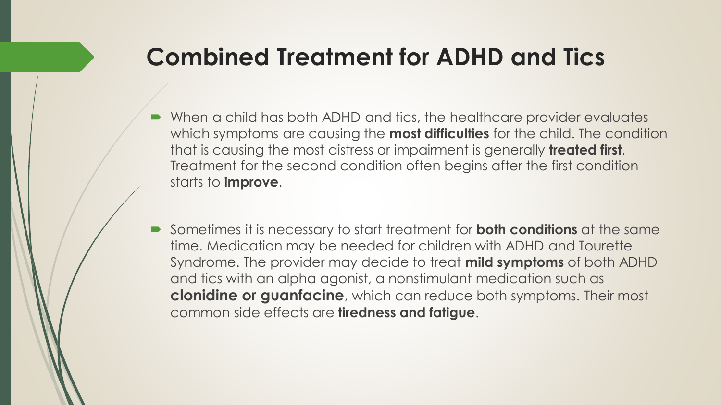### **Combined Treatment for ADHD and Tics**

- When a child has both ADHD and tics, the healthcare provider evaluates which symptoms are causing the **most difficulties** for the child. The condition that is causing the most distress or impairment is generally **treated first**. Treatment for the second condition often begins after the first condition starts to **improve**.
- Sometimes it is necessary to start treatment for **both conditions** at the same time. Medication may be needed for children with ADHD and Tourette Syndrome. The provider may decide to treat **mild symptoms** of both ADHD and tics with an alpha agonist, a nonstimulant medication such as **clonidine or guanfacine**, which can reduce both symptoms. Their most common side effects are **tiredness and fatigue**.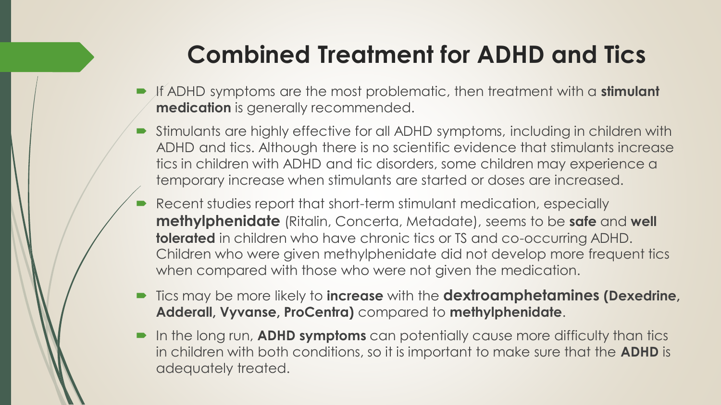### **Combined Treatment for ADHD and Tics**

- If ADHD symptoms are the most problematic, then treatment with a **stimulant medication** is generally recommended.
- Stimulants are highly effective for all ADHD symptoms, including in children with ADHD and tics. Although there is no scientific evidence that stimulants increase tics in children with ADHD and tic disorders, some children may experience a temporary increase when stimulants are started or doses are increased.
- Recent studies report that short-term stimulant medication, especially **methylphenidate** (Ritalin, Concerta, Metadate), seems to be **safe** and **well tolerated** in children who have chronic tics or TS and co-occurring ADHD. Children who were given methylphenidate did not develop more frequent tics when compared with those who were not given the medication.
- Tics may be more likely to **increase** with the **dextroamphetamines (Dexedrine, Adderall, Vyvanse, ProCentra)** compared to **methylphenidate**.
- In the long run, **ADHD symptoms** can potentially cause more difficulty than tics in children with both conditions, so it is important to make sure that the **ADHD** is adequately treated.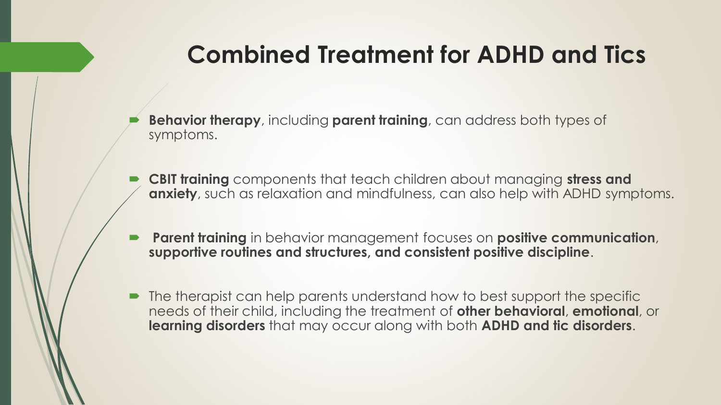### **Combined Treatment for ADHD and Tics**

- **Behavior therapy**, including **parent training**, can address both types of symptoms.
- **CBIT training** components that teach children about managing **stress and anxiety**, such as relaxation and mindfulness, can also help with ADHD symptoms.
- **Parent training** in behavior management focuses on **positive communication**, **supportive routines and structures, and consistent positive discipline**.
- The therapist can help parents understand how to best support the specific needs of their child, including the treatment of **other behavioral**, **emotional**, or **learning disorders** that may occur along with both **ADHD and tic disorders**.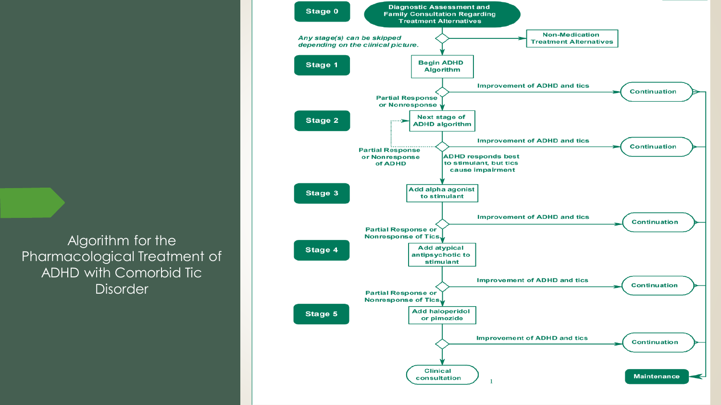Algorithm for the Pharmacological Treatment of ADHD with Comorbid Tic **Disorder** 

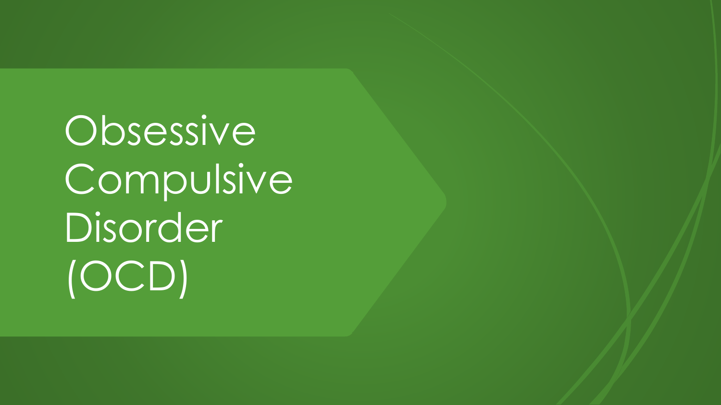Obsessive Compulsive Disorder (OCD)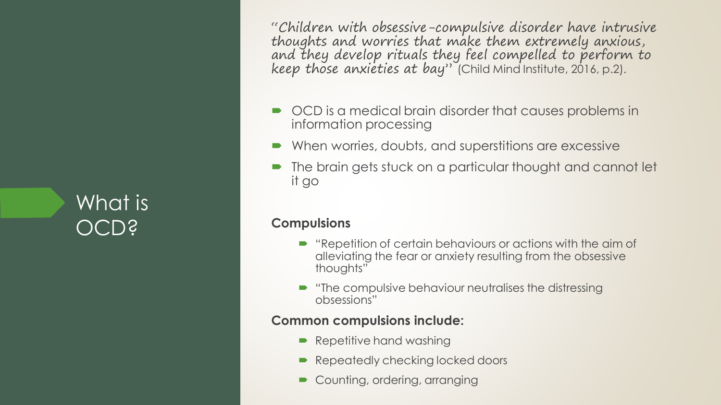What is OCD?

"Children with obsessive-compulsive disorder have intrusive thoughts and worries that make them extremely anxious, and they develop rituals they feel compelled to perform to keep those anxieties at bay" (Child Mind Institute, 2016, p.2).

- $\bullet$  OCD is a medical brain disorder that causes problems in information processing
- When worries, doubts, and superstitions are excessive
- The brain gets stuck on a particular thought and cannot let it go

#### **Compulsions**

- $\blacktriangleright$  "Repetition of certain behaviours or actions with the aim of alleviating the fear or anxiety resulting from the obsessive thoughts"
- $\blacksquare$  "The compulsive behaviour neutralises the distressing obsessions"

#### **Common compulsions include:**

- Repetitive hand washing
- Repeatedly checking locked doors
- Counting, ordering, arranging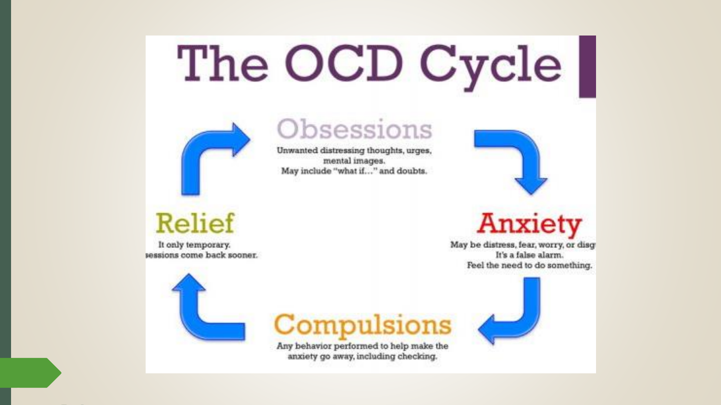# The OCD Cycle



### Obsessions

Unwanted distressing thoughts, urges, mental images. May include "what if..." and doubts.

### **Relief**

It only temporary. sessions come back sooner.



### Compulsions

Any behavior performed to help make the anxiety go away, including checking.



# **Anxiety**

May be distress, fear, worry, or disg-It's a false alarm. Feel the need to do something.

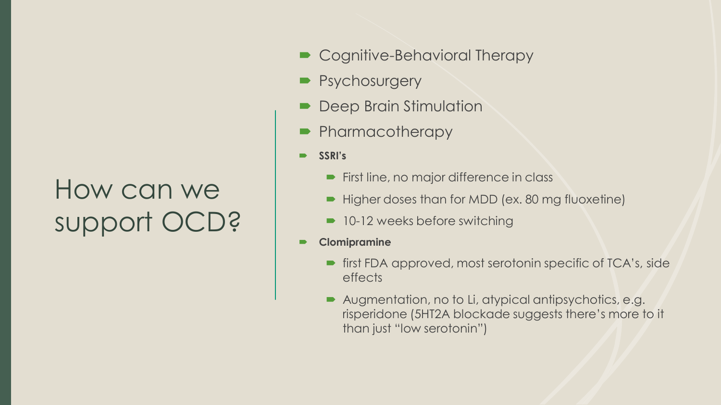# How can we support OCD?

- **► Cognitive-Behavioral Therapy**
- **Psychosurgery**
- Deep Brain Stimulation
- Pharmacotherapy
- **SSRI's**
	- **First line, no major difference in class**
	- Higher doses than for MDD (ex. 80 mg fluoxetine)
	- 10-12 weeks before switching
- **Clomipramine**
	- **First FDA approved, most serotonin specific of TCA's, side** effects
	- Augmentation, no to Li, atypical antipsychotics, e.g. risperidone (5HT2A blockade suggests there's more to it than just "low serotonin")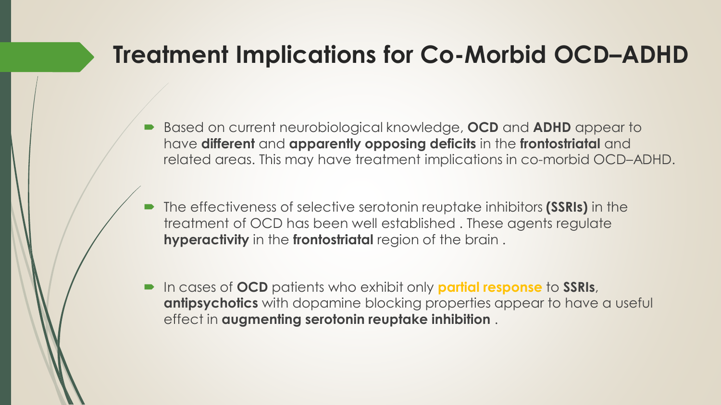- Based on current neurobiological knowledge, **OCD** and **ADHD** appear to have **different** and **apparently opposing deficits** in the **frontostriatal** and related areas. This may have treatment implications in co-morbid OCD–ADHD.
- The effectiveness of selective serotonin reuptake inhibitors **(SSRIs)** in the treatment of OCD has been well established . These agents regulate **hyperactivity** in the **frontostriatal** region of the brain .
- In cases of **OCD** patients who exhibit only **partial response** to **SSRIs**, **antipsychotics** with dopamine blocking properties appear to have a useful effect in **augmenting serotonin reuptake inhibition** .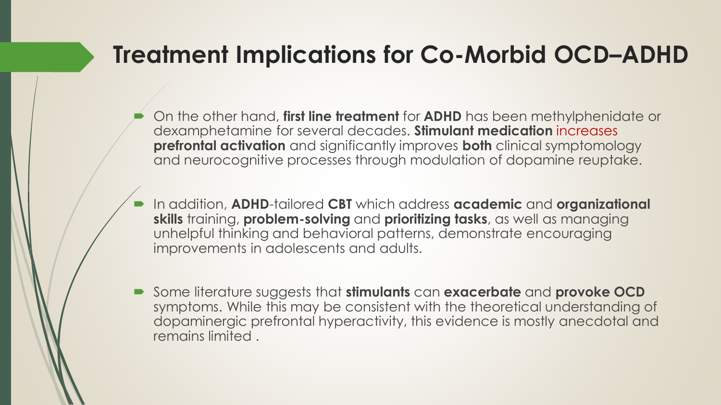- On the other hand, **first line treatment** for **ADHD** has been methylphenidate or dexamphetamine for several decades. **Stimulant medication** increases **prefrontal activation** and significantly improves **both** clinical symptomology and neurocognitive processes through modulation of dopamine reuptake.
- In addition, **ADHD**-tailored **CBT** which address **academic** and **organizational skills** training, **problem-solving** and **prioritizing tasks**, as well as managing unhelpful thinking and behavioral patterns, demonstrate encouraging improvements in adolescents and adults.
- Some literature suggests that **stimulants** can **exacerbate** and **provoke OCD** symptoms. While this may be consistent with the theoretical understanding of dopaminergic prefrontal hyperactivity, this evidence is mostly anecdotal and remains limited .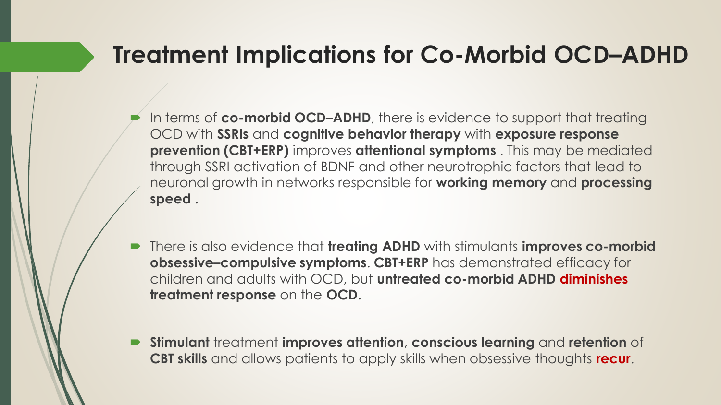- In terms of **co-morbid OCD–ADHD**, there is evidence to support that treating OCD with **SSRIs** and **cognitive behavior therapy** with **exposure response prevention (CBT+ERP)** improves **attentional symptoms** . This may be mediated through SSRI activation of BDNF and other neurotrophic factors that lead to neuronal growth in networks responsible for **working memory** and **processing speed** .
- There is also evidence that **treating ADHD** with stimulants **improves co-morbid obsessive–compulsive symptoms**. **CBT+ERP** has demonstrated efficacy for children and adults with OCD, but **untreated co-morbid ADHD diminishes treatment response** on the **OCD**.
- **Stimulant** treatment **improves attention**, **conscious learning** and **retention** of **CBT skills** and allows patients to apply skills when obsessive thoughts **recur**.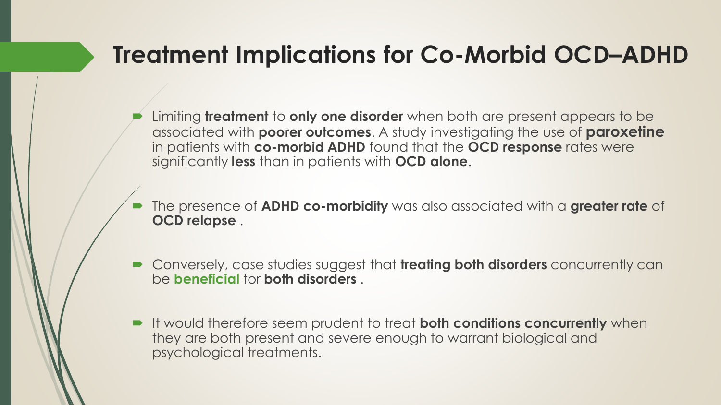- Limiting **treatment** to **only one disorder** when both are present appears to be associated with **poorer outcomes**. A study investigating the use of **paroxetine** in patients with **co-morbid ADHD** found that the **OCD response** rates were significantly **less** than in patients with **OCD alone**.
- The presence of **ADHD co-morbidity** was also associated with a **greater rate** of **OCD relapse** .
- Conversely, case studies suggest that **treating both disorders** concurrently can be **beneficial** for **both disorders** .
- It would therefore seem prudent to treat **both conditions concurrently** when they are both present and severe enough to warrant biological and psychological treatments.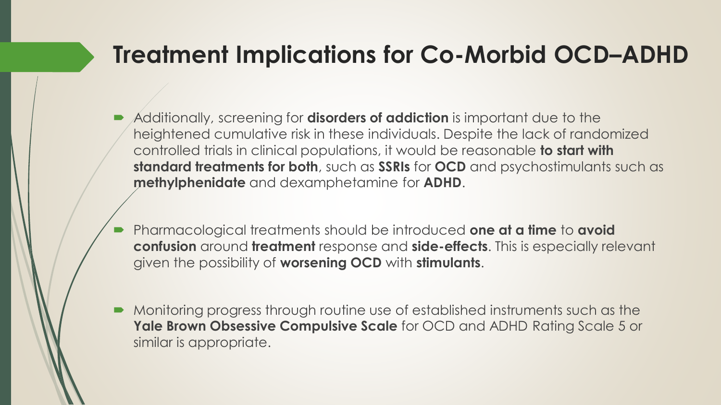- Additionally, screening for **disorders of addiction** is important due to the heightened cumulative risk in these individuals. Despite the lack of randomized controlled trials in clinical populations, it would be reasonable **to start with standard treatments for both**, such as **SSRIs** for **OCD** and psychostimulants such as **methylphenidate** and dexamphetamine for **ADHD**.
- Pharmacological treatments should be introduced **one at a time** to **avoid confusion** around **treatment** response and **side-effects**. This is especially relevant given the possibility of **worsening OCD** with **stimulants**.
- Monitoring progress through routine use of established instruments such as the **Yale Brown Obsessive Compulsive Scale** for OCD and ADHD Rating Scale 5 or similar is appropriate.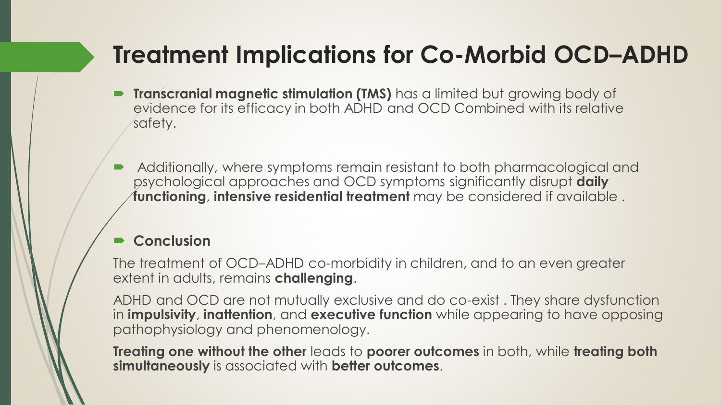- **Transcranial magnetic stimulation (TMS)** has a limited but growing body of evidence for its efficacy in both ADHD and OCD Combined with its relative safety.
- Additionally, where symptoms remain resistant to both pharmacological and psychological approaches and OCD symptoms significantly disrupt **daily functioning**, **intensive residential treatment** may be considered if available .

#### **Conclusion**

The treatment of OCD–ADHD co-morbidity in children, and to an even greater extent in adults, remains **challenging**.

ADHD and OCD are not mutually exclusive and do co-exist . They share dysfunction in **impulsivity**, **inattention**, and **executive function** while appearing to have opposing pathophysiology and phenomenology.

**Treating one without the other** leads to **poorer outcomes** in both, while **treating both simultaneously** is associated with **better outcomes**.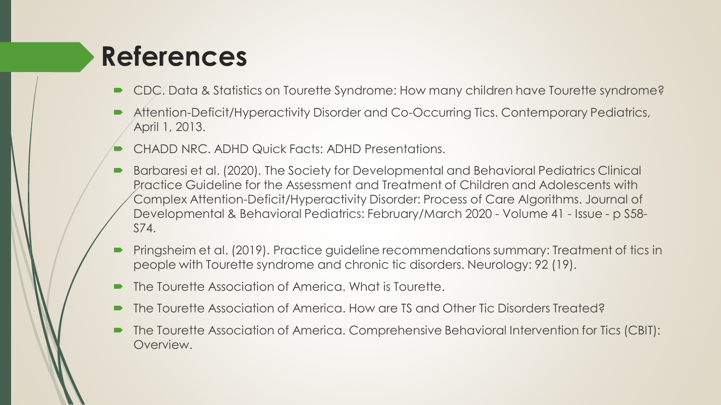## **References**

- CDC. Data & Statistics on Tourette Syndrome: How many children have Tourette syndrome?
- Attention-Deficit/Hyperactivity Disorder and Co-Occurring Tics. Contemporary Pediatrics, April 1, 2013.
- CHADD NRC. ADHD Quick Facts: ADHD Presentations.
- Barbaresi et al. (2020). The Society for Developmental and Behavioral Pediatrics Clinical Practice Guideline for the Assessment and Treatment of Children and Adolescents with Complex Attention-Deficit/Hyperactivity Disorder: Process of Care Algorithms. Journal of Developmental & Behavioral Pediatrics: February/March 2020 - Volume 41 - Issue - p S58- S74.
- Pringsheim et al. (2019). Practice guideline recommendations summary: Treatment of tics in people with Tourette syndrome and chronic tic disorders. Neurology: 92 (19).
- The Tourette Association of America. What is Tourette.
- The Tourette Association of America. How are TS and Other Tic Disorders Treated?
- The Tourette Association of America. Comprehensive Behavioral Intervention for Tics (CBIT): Overview.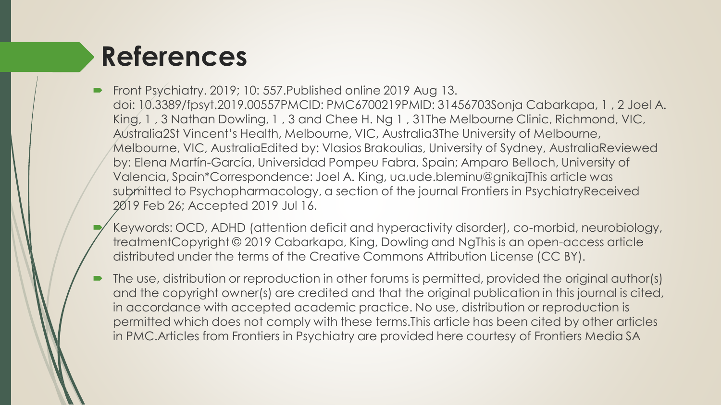# **References**

- Front Psychiatry. 2019; 10: 557.Published online 2019 Aug 13. doi: 10.3389/fpsyt.2019.00557PMCID: PMC6700219PMID: 31456703Sonja Cabarkapa, 1 , 2 Joel A. King, 1 , 3 Nathan Dowling, 1 , 3 and Chee H. Ng 1 , 31The Melbourne Clinic, Richmond, VIC, Australia2St Vincent's Health, Melbourne, VIC, Australia3The University of Melbourne, Melbourne, VIC, AustraliaEdited by: Vlasios Brakoulias, University of Sydney, AustraliaReviewed by: Elena Martín-García, Universidad Pompeu Fabra, Spain; Amparo Belloch, University of Valencia, Spain\*Correspondence: Joel A. King, ua.ude.bleminu@gnikajThis article was submitted to Psychopharmacology, a section of the journal Frontiers in PsychiatryReceived 2019 Feb 26; Accepted 2019 Jul 16.
	- Keywords: OCD, ADHD (attention deficit and hyperactivity disorder), co-morbid, neurobiology, treatmentCopyright © 2019 Cabarkapa, King, Dowling and NgThis is an open-access article distributed under the terms of the Creative Commons Attribution License (CC BY).
- The use, distribution or reproduction in other forums is permitted, provided the original author(s) and the copyright owner(s) are credited and that the original publication in this journal is cited, in accordance with accepted academic practice. No use, distribution or reproduction is permitted which does not comply with these terms.This article has been cited by other articles in PMC.Articles from Frontiers in Psychiatry are provided here courtesy of Frontiers Media SA